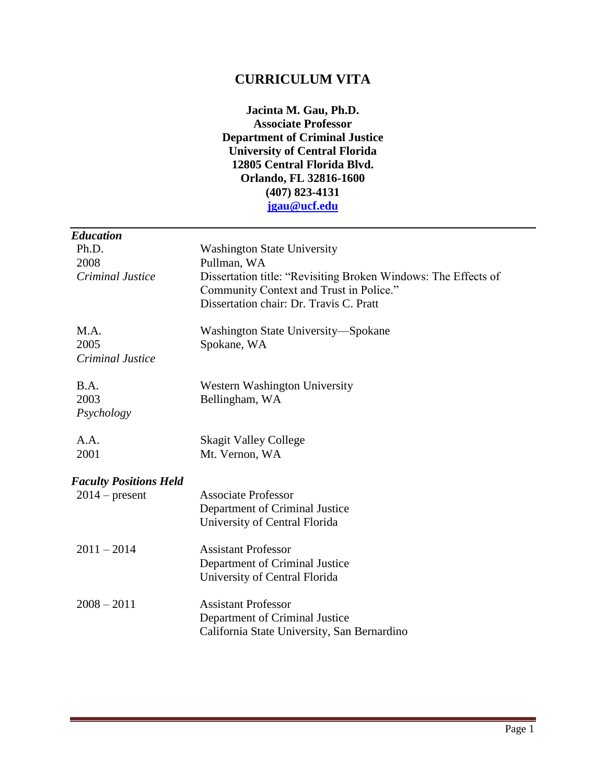## **CURRICULUM VITA**

**Jacinta M. Gau, Ph.D. Associate Professor Department of Criminal Justice University of Central Florida 12805 Central Florida Blvd. Orlando, FL 32816-1600 (407) 823-4131 [jgau@ucf.edu](mailto:jgau@ucf.edu)**

| <b>Education</b>                 |                                                                                                                                                      |
|----------------------------------|------------------------------------------------------------------------------------------------------------------------------------------------------|
| Ph.D.                            | <b>Washington State University</b>                                                                                                                   |
| 2008                             | Pullman, WA                                                                                                                                          |
| Criminal Justice                 | Dissertation title: "Revisiting Broken Windows: The Effects of<br>Community Context and Trust in Police."<br>Dissertation chair: Dr. Travis C. Pratt |
| M.A.<br>2005<br>Criminal Justice | Washington State University—Spokane<br>Spokane, WA                                                                                                   |
|                                  |                                                                                                                                                      |
| B.A.<br>2003<br>Psychology       | Western Washington University<br>Bellingham, WA                                                                                                      |
| A.A.                             | <b>Skagit Valley College</b>                                                                                                                         |
| 2001                             | Mt. Vernon, WA                                                                                                                                       |
| <b>Faculty Positions Held</b>    |                                                                                                                                                      |
| $2014$ – present                 | <b>Associate Professor</b>                                                                                                                           |
|                                  | Department of Criminal Justice<br>University of Central Florida                                                                                      |
| $2011 - 2014$                    | <b>Assistant Professor</b>                                                                                                                           |
|                                  | Department of Criminal Justice<br>University of Central Florida                                                                                      |
| $2008 - 2011$                    | <b>Assistant Professor</b><br>Department of Criminal Justice<br>California State University, San Bernardino                                          |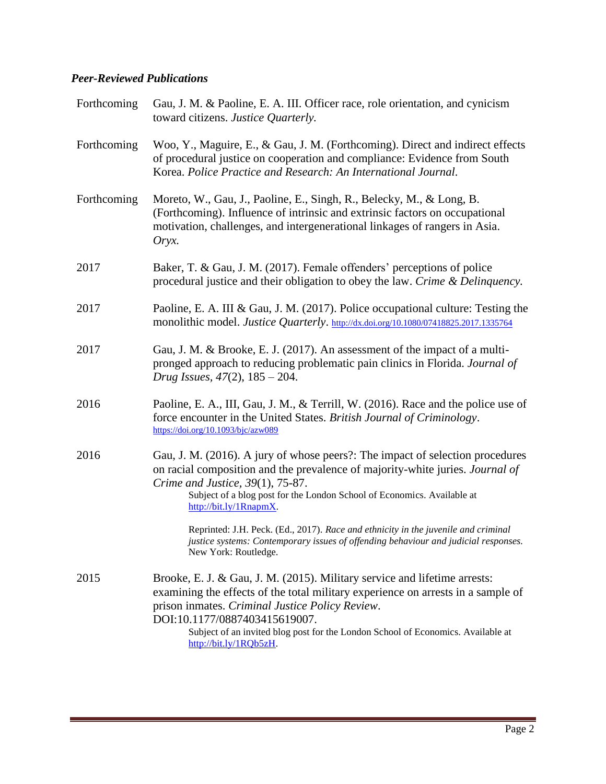#### *Peer-Reviewed Publications*

| Forthcoming | Gau, J. M. & Paoline, E. A. III. Officer race, role orientation, and cynicism<br>toward citizens. Justice Quarterly.                                                                                                                                                                                                                                            |
|-------------|-----------------------------------------------------------------------------------------------------------------------------------------------------------------------------------------------------------------------------------------------------------------------------------------------------------------------------------------------------------------|
| Forthcoming | Woo, Y., Maguire, E., & Gau, J. M. (Forthcoming). Direct and indirect effects<br>of procedural justice on cooperation and compliance: Evidence from South<br>Korea. Police Practice and Research: An International Journal.                                                                                                                                     |
| Forthcoming | Moreto, W., Gau, J., Paoline, E., Singh, R., Belecky, M., & Long, B.<br>(Forthcoming). Influence of intrinsic and extrinsic factors on occupational<br>motivation, challenges, and intergenerational linkages of rangers in Asia.<br>$Oryx$ .                                                                                                                   |
| 2017        | Baker, T. & Gau, J. M. (2017). Female offenders' perceptions of police<br>procedural justice and their obligation to obey the law. Crime & Delinquency.                                                                                                                                                                                                         |
| 2017        | Paoline, E. A. III & Gau, J. M. (2017). Police occupational culture: Testing the<br>monolithic model. Justice Quarterly. http://dx.doi.org/10.1080/07418825.2017.1335764                                                                                                                                                                                        |
| 2017        | Gau, J. M. & Brooke, E. J. (2017). An assessment of the impact of a multi-<br>pronged approach to reducing problematic pain clinics in Florida. Journal of<br>Drug Issues, $47(2)$ , $185 - 204$ .                                                                                                                                                              |
| 2016        | Paoline, E. A., III, Gau, J. M., & Terrill, W. (2016). Race and the police use of<br>force encounter in the United States. British Journal of Criminology.<br>https://doi.org/10.1093/bjc/azw089                                                                                                                                                                |
| 2016        | Gau, J. M. (2016). A jury of whose peers?: The impact of selection procedures<br>on racial composition and the prevalence of majority-white juries. Journal of<br>Crime and Justice, 39(1), 75-87.<br>Subject of a blog post for the London School of Economics. Available at<br>http://bit.ly/1RnapmX.                                                         |
|             | Reprinted: J.H. Peck. (Ed., 2017). Race and ethnicity in the juvenile and criminal<br>justice systems: Contemporary issues of offending behaviour and judicial responses.<br>New York: Routledge.                                                                                                                                                               |
| 2015        | Brooke, E. J. & Gau, J. M. (2015). Military service and lifetime arrests:<br>examining the effects of the total military experience on arrests in a sample of<br>prison inmates. Criminal Justice Policy Review.<br>DOI:10.1177/0887403415619007.<br>Subject of an invited blog post for the London School of Economics. Available at<br>http://bit.ly/1RQb5zH. |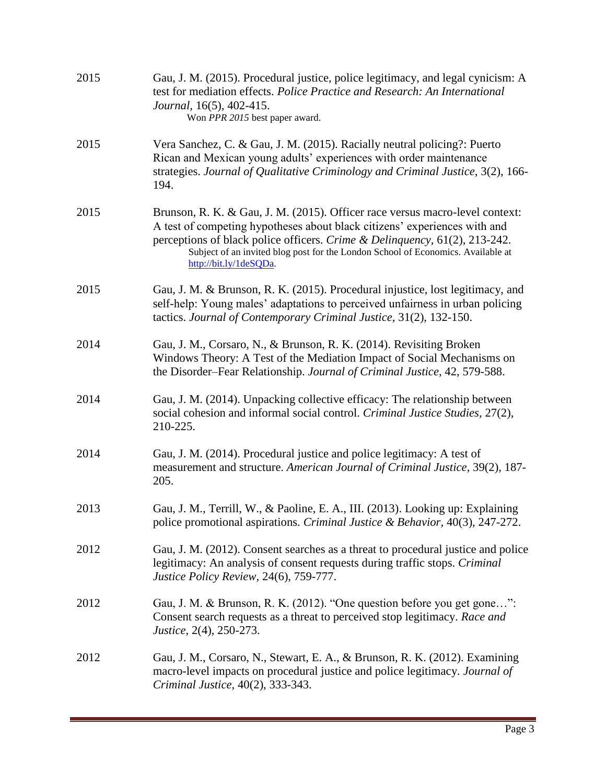| 2015 | Gau, J. M. (2015). Procedural justice, police legitimacy, and legal cynicism: A<br>test for mediation effects. Police Practice and Research: An International<br>Journal, 16(5), 402-415.<br>Won PPR 2015 best paper award.                                                                                                                           |
|------|-------------------------------------------------------------------------------------------------------------------------------------------------------------------------------------------------------------------------------------------------------------------------------------------------------------------------------------------------------|
| 2015 | Vera Sanchez, C. & Gau, J. M. (2015). Racially neutral policing?: Puerto<br>Rican and Mexican young adults' experiences with order maintenance<br>strategies. Journal of Qualitative Criminology and Criminal Justice, 3(2), 166-<br>194.                                                                                                             |
| 2015 | Brunson, R. K. & Gau, J. M. (2015). Officer race versus macro-level context:<br>A test of competing hypotheses about black citizens' experiences with and<br>perceptions of black police officers. Crime & Delinquency, 61(2), 213-242.<br>Subject of an invited blog post for the London School of Economics. Available at<br>http://bit.ly/1deSQDa. |
| 2015 | Gau, J. M. & Brunson, R. K. (2015). Procedural injustice, lost legitimacy, and<br>self-help: Young males' adaptations to perceived unfairness in urban policing<br>tactics. Journal of Contemporary Criminal Justice, 31(2), 132-150.                                                                                                                 |
| 2014 | Gau, J. M., Corsaro, N., & Brunson, R. K. (2014). Revisiting Broken<br>Windows Theory: A Test of the Mediation Impact of Social Mechanisms on<br>the Disorder-Fear Relationship. Journal of Criminal Justice, 42, 579-588.                                                                                                                            |
| 2014 | Gau, J. M. (2014). Unpacking collective efficacy: The relationship between<br>social cohesion and informal social control. Criminal Justice Studies, 27(2),<br>210-225.                                                                                                                                                                               |
| 2014 | Gau, J. M. (2014). Procedural justice and police legitimacy: A test of<br>measurement and structure. American Journal of Criminal Justice, 39(2), 187-<br>205.                                                                                                                                                                                        |
| 2013 | Gau, J. M., Terrill, W., & Paoline, E. A., III. (2013). Looking up: Explaining<br>police promotional aspirations. Criminal Justice & Behavior, 40(3), 247-272.                                                                                                                                                                                        |
| 2012 | Gau, J. M. (2012). Consent searches as a threat to procedural justice and police<br>legitimacy: An analysis of consent requests during traffic stops. Criminal<br>Justice Policy Review, 24(6), 759-777.                                                                                                                                              |
| 2012 | Gau, J. M. & Brunson, R. K. (2012). "One question before you get gone":<br>Consent search requests as a threat to perceived stop legitimacy. Race and<br><i>Justice</i> , 2(4), 250-273.                                                                                                                                                              |
| 2012 | Gau, J. M., Corsaro, N., Stewart, E. A., & Brunson, R. K. (2012). Examining<br>macro-level impacts on procedural justice and police legitimacy. Journal of<br>Criminal Justice, 40(2), 333-343.                                                                                                                                                       |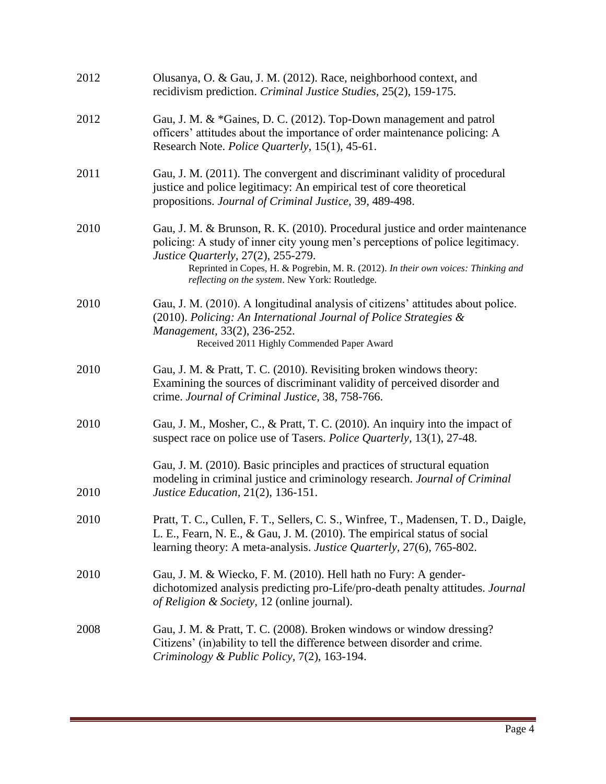| 2012 | Olusanya, O. & Gau, J. M. (2012). Race, neighborhood context, and<br>recidivism prediction. Criminal Justice Studies, 25(2), 159-175.                                                                                                                                                                                                       |
|------|---------------------------------------------------------------------------------------------------------------------------------------------------------------------------------------------------------------------------------------------------------------------------------------------------------------------------------------------|
| 2012 | Gau, J. M. & *Gaines, D. C. (2012). Top-Down management and patrol<br>officers' attitudes about the importance of order maintenance policing: A<br>Research Note. Police Quarterly, 15(1), 45-61.                                                                                                                                           |
| 2011 | Gau, J. M. (2011). The convergent and discriminant validity of procedural<br>justice and police legitimacy: An empirical test of core theoretical<br>propositions. Journal of Criminal Justice, 39, 489-498.                                                                                                                                |
| 2010 | Gau, J. M. & Brunson, R. K. (2010). Procedural justice and order maintenance<br>policing: A study of inner city young men's perceptions of police legitimacy.<br>Justice Quarterly, 27(2), 255-279.<br>Reprinted in Copes, H. & Pogrebin, M. R. (2012). In their own voices: Thinking and<br>reflecting on the system. New York: Routledge. |
| 2010 | Gau, J. M. (2010). A longitudinal analysis of citizens' attitudes about police.<br>(2010). Policing: An International Journal of Police Strategies &<br>Management, 33(2), 236-252.<br>Received 2011 Highly Commended Paper Award                                                                                                           |
| 2010 | Gau, J. M. & Pratt, T. C. (2010). Revisiting broken windows theory:<br>Examining the sources of discriminant validity of perceived disorder and<br>crime. Journal of Criminal Justice, 38, 758-766.                                                                                                                                         |
| 2010 | Gau, J. M., Mosher, C., & Pratt, T. C. (2010). An inquiry into the impact of<br>suspect race on police use of Tasers. Police Quarterly, 13(1), 27-48.                                                                                                                                                                                       |
| 2010 | Gau, J. M. (2010). Basic principles and practices of structural equation<br>modeling in criminal justice and criminology research. Journal of Criminal<br><i>Justice Education, 21(2), 136-151.</i>                                                                                                                                         |
| 2010 | Pratt, T. C., Cullen, F. T., Sellers, C. S., Winfree, T., Madensen, T. D., Daigle,<br>L. E., Fearn, N. E., & Gau, J. M. (2010). The empirical status of social<br>learning theory: A meta-analysis. <i>Justice Quarterly</i> , 27(6), 765-802.                                                                                              |
| 2010 | Gau, J. M. & Wiecko, F. M. (2010). Hell hath no Fury: A gender-<br>dichotomized analysis predicting pro-Life/pro-death penalty attitudes. Journal<br>of Religion & Society, 12 (online journal).                                                                                                                                            |
| 2008 | Gau, J. M. & Pratt, T. C. (2008). Broken windows or window dressing?<br>Citizens' (in)ability to tell the difference between disorder and crime.<br>Criminology & Public Policy, 7(2), 163-194.                                                                                                                                             |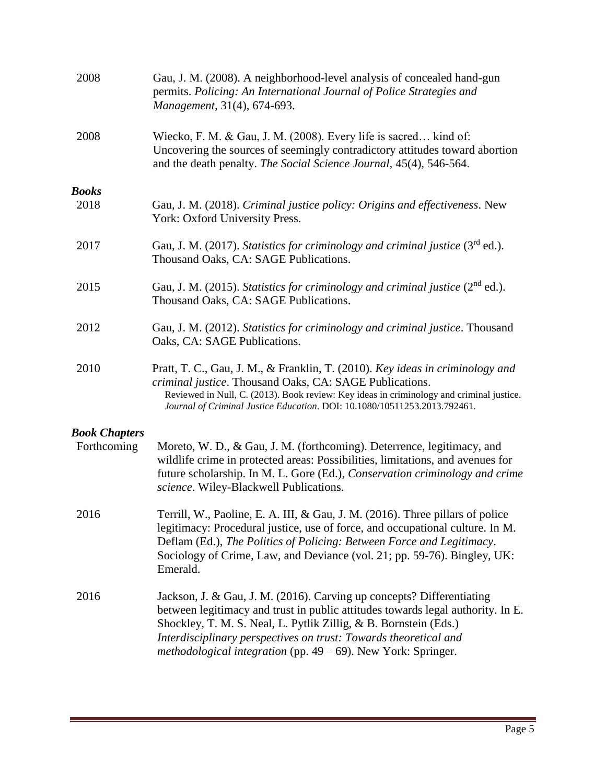| 2008                                | Gau, J. M. (2008). A neighborhood-level analysis of concealed hand-gun<br>permits. Policing: An International Journal of Police Strategies and<br>Management, 31(4), 674-693.                                                                                                                                                                                        |
|-------------------------------------|----------------------------------------------------------------------------------------------------------------------------------------------------------------------------------------------------------------------------------------------------------------------------------------------------------------------------------------------------------------------|
| 2008                                | Wiecko, F. M. & Gau, J. M. (2008). Every life is sacred kind of:<br>Uncovering the sources of seemingly contradictory attitudes toward abortion<br>and the death penalty. The Social Science Journal, 45(4), 546-564.                                                                                                                                                |
| <b>Books</b>                        |                                                                                                                                                                                                                                                                                                                                                                      |
| 2018                                | Gau, J. M. (2018). Criminal justice policy: Origins and effectiveness. New<br>York: Oxford University Press.                                                                                                                                                                                                                                                         |
| 2017                                | Gau, J. M. (2017). Statistics for criminology and criminal justice $(3rd$ ed.).<br>Thousand Oaks, CA: SAGE Publications.                                                                                                                                                                                                                                             |
| 2015                                | Gau, J. M. (2015). Statistics for criminology and criminal justice $(2^{nd}$ ed.).<br>Thousand Oaks, CA: SAGE Publications.                                                                                                                                                                                                                                          |
| 2012                                | Gau, J. M. (2012). Statistics for criminology and criminal justice. Thousand<br>Oaks, CA: SAGE Publications.                                                                                                                                                                                                                                                         |
| 2010                                | Pratt, T. C., Gau, J. M., & Franklin, T. (2010). Key ideas in criminology and<br>criminal justice. Thousand Oaks, CA: SAGE Publications.<br>Reviewed in Null, C. (2013). Book review: Key ideas in criminology and criminal justice.<br>Journal of Criminal Justice Education. DOI: 10.1080/10511253.2013.792461.                                                    |
|                                     |                                                                                                                                                                                                                                                                                                                                                                      |
| <b>Book Chapters</b><br>Forthcoming | Moreto, W. D., & Gau, J. M. (forthcoming). Deterrence, legitimacy, and<br>wildlife crime in protected areas: Possibilities, limitations, and avenues for<br>future scholarship. In M. L. Gore (Ed.), Conservation criminology and crime<br>science. Wiley-Blackwell Publications.                                                                                    |
| 2016                                | Terrill, W., Paoline, E. A. III, & Gau, J. M. (2016). Three pillars of police<br>legitimacy: Procedural justice, use of force, and occupational culture. In M.<br>Deflam (Ed.), The Politics of Policing: Between Force and Legitimacy.<br>Sociology of Crime, Law, and Deviance (vol. 21; pp. 59-76). Bingley, UK:<br>Emerald.                                      |
| 2016                                | Jackson, J. & Gau, J. M. (2016). Carving up concepts? Differentiating<br>between legitimacy and trust in public attitudes towards legal authority. In E.<br>Shockley, T. M. S. Neal, L. Pytlik Zillig, & B. Bornstein (Eds.)<br>Interdisciplinary perspectives on trust: Towards theoretical and<br>methodological integration (pp. $49 - 69$ ). New York: Springer. |
|                                     |                                                                                                                                                                                                                                                                                                                                                                      |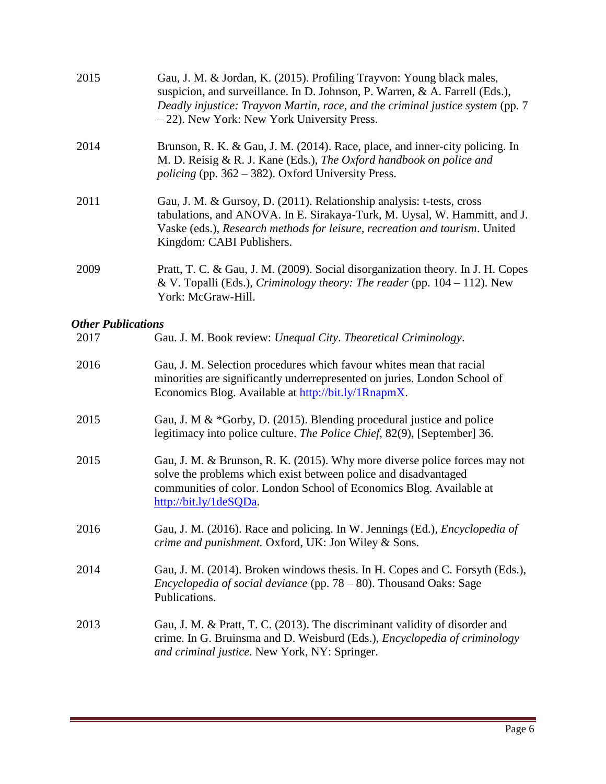| 2015                      | Gau, J. M. & Jordan, K. (2015). Profiling Trayvon: Young black males,<br>suspicion, and surveillance. In D. Johnson, P. Warren, & A. Farrell (Eds.),<br>Deadly injustice: Trayvon Martin, race, and the criminal justice system (pp. 7<br>- 22). New York: New York University Press. |
|---------------------------|---------------------------------------------------------------------------------------------------------------------------------------------------------------------------------------------------------------------------------------------------------------------------------------|
| 2014                      | Brunson, R. K. & Gau, J. M. (2014). Race, place, and inner-city policing. In<br>M. D. Reisig & R. J. Kane (Eds.), The Oxford handbook on police and<br><i>policing</i> (pp. $362 - 382$ ). Oxford University Press.                                                                   |
| 2011                      | Gau, J. M. & Gursoy, D. (2011). Relationship analysis: t-tests, cross<br>tabulations, and ANOVA. In E. Sirakaya-Turk, M. Uysal, W. Hammitt, and J.<br>Vaske (eds.), Research methods for leisure, recreation and tourism. United<br>Kingdom: CABI Publishers.                         |
| 2009                      | Pratt, T. C. & Gau, J. M. (2009). Social disorganization theory. In J. H. Copes<br>& V. Topalli (Eds.), Criminology theory: The reader (pp. $104 - 112$ ). New<br>York: McGraw-Hill.                                                                                                  |
| <b>Other Publications</b> |                                                                                                                                                                                                                                                                                       |
| 2017                      | Gau. J. M. Book review: Unequal City. Theoretical Criminology.                                                                                                                                                                                                                        |
| 2016                      | Gau, J. M. Selection procedures which favour whites mean that racial<br>minorities are significantly underrepresented on juries. London School of<br>Economics Blog. Available at http://bit.ly/1RnapmX.                                                                              |
| 2015                      | Gau, J. M & *Gorby, D. (2015). Blending procedural justice and police<br>legitimacy into police culture. The Police Chief, 82(9), [September] 36.                                                                                                                                     |
| 2015                      | Gau, J. M. & Brunson, R. K. (2015). Why more diverse police forces may not<br>solve the problems which exist between police and disadvantaged<br>communities of color. London School of Economics Blog. Available at<br>http://bit.ly/1deSQDa.                                        |
| 2016                      | Gau, J. M. (2016). Race and policing. In W. Jennings (Ed.), <i>Encyclopedia of</i><br>crime and punishment. Oxford, UK: Jon Wiley & Sons.                                                                                                                                             |
| 2014                      | Gau, J. M. (2014). Broken windows thesis. In H. Copes and C. Forsyth (Eds.),<br>Encyclopedia of social deviance (pp. $78 - 80$ ). Thousand Oaks: Sage<br>Publications.                                                                                                                |
| 2013                      | Gau, J. M. & Pratt, T. C. (2013). The discriminant validity of disorder and<br>crime. In G. Bruinsma and D. Weisburd (Eds.), <i>Encyclopedia of criminology</i><br>and criminal justice. New York, NY: Springer.                                                                      |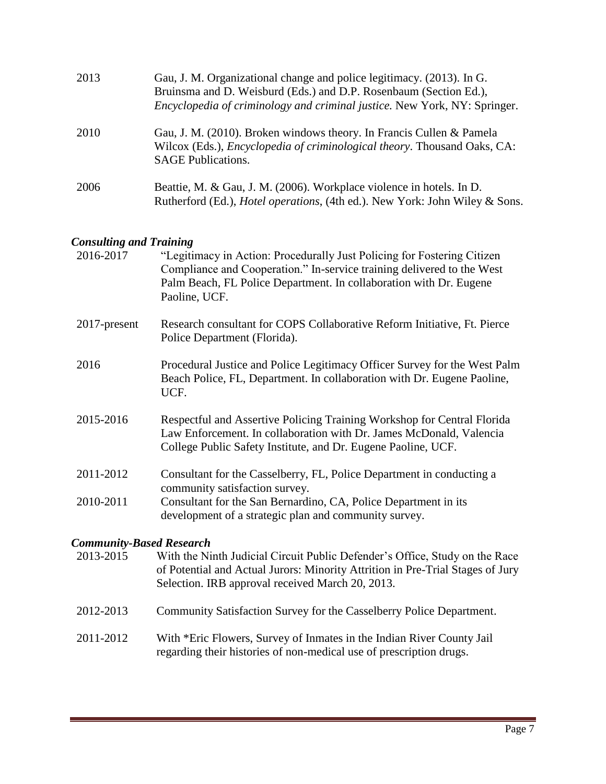| 2013 | Gau, J. M. Organizational change and police legitimacy. (2013). In G.<br>Bruinsma and D. Weisburd (Eds.) and D.P. Rosenbaum (Section Ed.),<br>Encyclopedia of criminology and criminal justice. New York, NY: Springer. |
|------|-------------------------------------------------------------------------------------------------------------------------------------------------------------------------------------------------------------------------|
| 2010 | Gau, J. M. (2010). Broken windows theory. In Francis Cullen & Pamela<br>Wilcox (Eds.), <i>Encyclopedia of criminological theory</i> . Thousand Oaks, CA:<br><b>SAGE Publications.</b>                                   |
| 2006 | Beattie, M. & Gau, J. M. (2006). Workplace violence in hotels. In D.<br>Rutherford (Ed.), <i>Hotel operations</i> , (4th ed.). New York: John Wiley & Sons.                                                             |

# *Consulting and Training*

| Consulting and Training         |                                                                                                                                                                                                                                          |
|---------------------------------|------------------------------------------------------------------------------------------------------------------------------------------------------------------------------------------------------------------------------------------|
| 2016-2017                       | "Legitimacy in Action: Procedurally Just Policing for Fostering Citizen<br>Compliance and Cooperation." In-service training delivered to the West<br>Palm Beach, FL Police Department. In collaboration with Dr. Eugene<br>Paoline, UCF. |
| 2017-present                    | Research consultant for COPS Collaborative Reform Initiative, Ft. Pierce<br>Police Department (Florida).                                                                                                                                 |
| 2016                            | Procedural Justice and Police Legitimacy Officer Survey for the West Palm<br>Beach Police, FL, Department. In collaboration with Dr. Eugene Paoline,<br>UCF.                                                                             |
| 2015-2016                       | Respectful and Assertive Policing Training Workshop for Central Florida<br>Law Enforcement. In collaboration with Dr. James McDonald, Valencia<br>College Public Safety Institute, and Dr. Eugene Paoline, UCF.                          |
| 2011-2012                       | Consultant for the Casselberry, FL, Police Department in conducting a<br>community satisfaction survey.                                                                                                                                  |
| 2010-2011                       | Consultant for the San Bernardino, CA, Police Department in its<br>development of a strategic plan and community survey.                                                                                                                 |
| <b>Community-Based Research</b> |                                                                                                                                                                                                                                          |
| 2013-2015                       | With the Ninth Judicial Circuit Public Defender's Office, Study on the Race<br>of Potential and Actual Jurors: Minority Attrition in Pre-Trial Stages of Jury<br>Selection. IRB approval received March 20, 2013.                        |
| 2012-2013                       | Community Satisfaction Survey for the Casselberry Police Department.                                                                                                                                                                     |
| 2011-2012                       | With *Eric Flowers, Survey of Inmates in the Indian River County Jail<br>regarding their histories of non-medical use of prescription drugs.                                                                                             |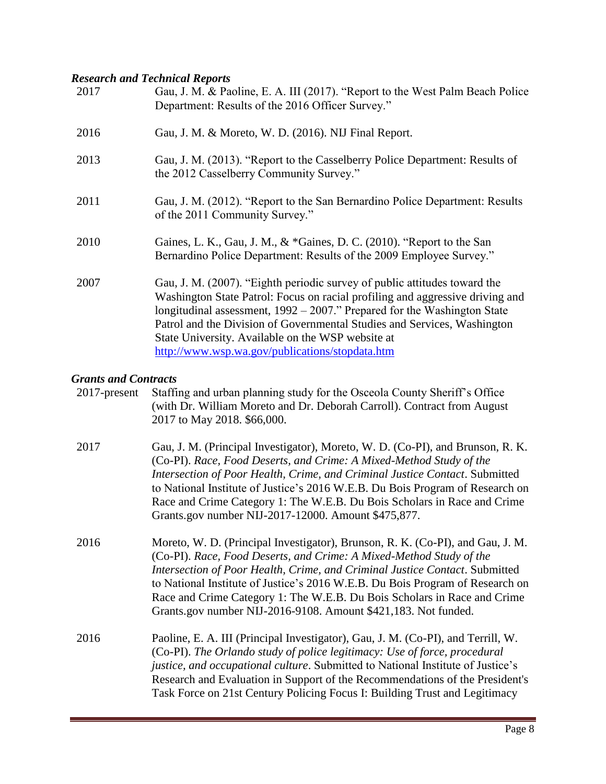# *Research and Technical Reports*

| 2017 | Gau, J. M. & Paoline, E. A. III (2017). "Report to the West Palm Beach Police<br>Department: Results of the 2016 Officer Survey."                                                                                                                                                                                                                                                                                             |
|------|-------------------------------------------------------------------------------------------------------------------------------------------------------------------------------------------------------------------------------------------------------------------------------------------------------------------------------------------------------------------------------------------------------------------------------|
| 2016 | Gau, J. M. & Moreto, W. D. (2016). NIJ Final Report.                                                                                                                                                                                                                                                                                                                                                                          |
| 2013 | Gau, J. M. (2013). "Report to the Casselberry Police Department: Results of<br>the 2012 Casselberry Community Survey."                                                                                                                                                                                                                                                                                                        |
| 2011 | Gau, J. M. (2012). "Report to the San Bernardino Police Department: Results<br>of the 2011 Community Survey."                                                                                                                                                                                                                                                                                                                 |
| 2010 | Gaines, L. K., Gau, J. M., & *Gaines, D. C. (2010). "Report to the San<br>Bernardino Police Department: Results of the 2009 Employee Survey."                                                                                                                                                                                                                                                                                 |
| 2007 | Gau, J. M. (2007). "Eighth periodic survey of public attitudes toward the<br>Washington State Patrol: Focus on racial profiling and aggressive driving and<br>longitudinal assessment, $1992 - 2007$ ." Prepared for the Washington State<br>Patrol and the Division of Governmental Studies and Services, Washington<br>State University. Available on the WSP website at<br>http://www.wsp.wa.gov/publications/stopdata.htm |

#### *Grants and Contracts*

| 2017-present | Staffing and urban planning study for the Osceola County Sheriff's Office<br>(with Dr. William Moreto and Dr. Deborah Carroll). Contract from August<br>2017 to May 2018. \$66,000.                                                                                                                                                                                                                                                                                 |
|--------------|---------------------------------------------------------------------------------------------------------------------------------------------------------------------------------------------------------------------------------------------------------------------------------------------------------------------------------------------------------------------------------------------------------------------------------------------------------------------|
| 2017         | Gau, J. M. (Principal Investigator), Moreto, W. D. (Co-PI), and Brunson, R. K.<br>(Co-PI). Race, Food Deserts, and Crime: A Mixed-Method Study of the<br>Intersection of Poor Health, Crime, and Criminal Justice Contact. Submitted<br>to National Institute of Justice's 2016 W.E.B. Du Bois Program of Research on<br>Race and Crime Category 1: The W.E.B. Du Bois Scholars in Race and Crime<br>Grants.gov number NIJ-2017-12000. Amount \$475,877.            |
| 2016         | Moreto, W. D. (Principal Investigator), Brunson, R. K. (Co-PI), and Gau, J. M.<br>(Co-PI). Race, Food Deserts, and Crime: A Mixed-Method Study of the<br>Intersection of Poor Health, Crime, and Criminal Justice Contact. Submitted<br>to National Institute of Justice's 2016 W.E.B. Du Bois Program of Research on<br>Race and Crime Category 1: The W.E.B. Du Bois Scholars in Race and Crime<br>Grants.gov number NIJ-2016-9108. Amount \$421,183. Not funded. |
| 2016         | Paoline, E. A. III (Principal Investigator), Gau, J. M. (Co-PI), and Terrill, W.<br>(Co-PI). The Orlando study of police legitimacy: Use of force, procedural<br><i>justice, and occupational culture.</i> Submitted to National Institute of Justice's<br>Research and Evaluation in Support of the Recommendations of the President's<br>Task Force on 21st Century Policing Focus I: Building Trust and Legitimacy                                               |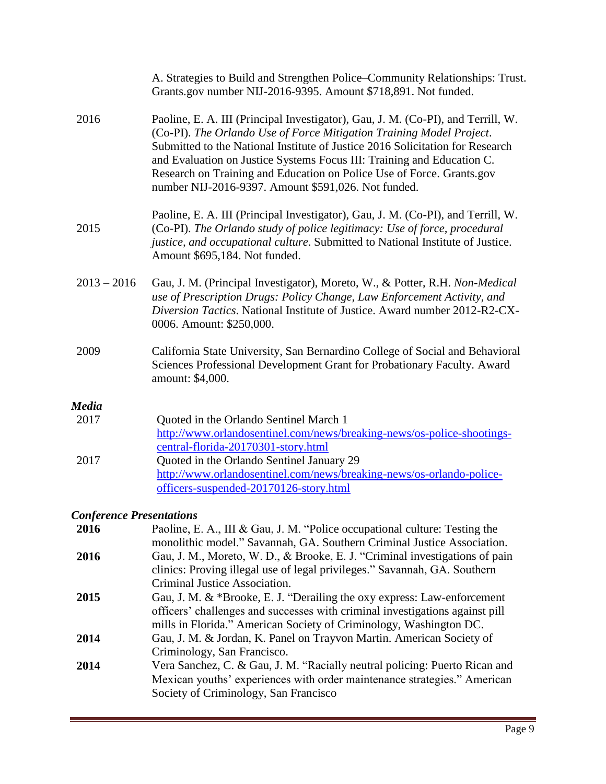|                                 | A. Strategies to Build and Strengthen Police-Community Relationships: Trust.<br>Grants.gov number NIJ-2016-9395. Amount \$718,891. Not funded.                                                                                                                                                                                                                                                                                                      |
|---------------------------------|-----------------------------------------------------------------------------------------------------------------------------------------------------------------------------------------------------------------------------------------------------------------------------------------------------------------------------------------------------------------------------------------------------------------------------------------------------|
| 2016                            | Paoline, E. A. III (Principal Investigator), Gau, J. M. (Co-PI), and Terrill, W.<br>(Co-PI). The Orlando Use of Force Mitigation Training Model Project.<br>Submitted to the National Institute of Justice 2016 Solicitation for Research<br>and Evaluation on Justice Systems Focus III: Training and Education C.<br>Research on Training and Education on Police Use of Force. Grants.gov<br>number NIJ-2016-9397. Amount \$591,026. Not funded. |
| 2015                            | Paoline, E. A. III (Principal Investigator), Gau, J. M. (Co-PI), and Terrill, W.<br>(Co-PI). The Orlando study of police legitimacy: Use of force, procedural<br>justice, and occupational culture. Submitted to National Institute of Justice.<br>Amount \$695,184. Not funded.                                                                                                                                                                    |
| $2013 - 2016$                   | Gau, J. M. (Principal Investigator), Moreto, W., & Potter, R.H. Non-Medical<br>use of Prescription Drugs: Policy Change, Law Enforcement Activity, and<br>Diversion Tactics. National Institute of Justice. Award number 2012-R2-CX-<br>0006. Amount: \$250,000.                                                                                                                                                                                    |
| 2009                            | California State University, San Bernardino College of Social and Behavioral<br>Sciences Professional Development Grant for Probationary Faculty. Award<br>amount: \$4,000.                                                                                                                                                                                                                                                                         |
| <b>Media</b>                    |                                                                                                                                                                                                                                                                                                                                                                                                                                                     |
| 2017                            | Quoted in the Orlando Sentinel March 1<br>http://www.orlandosentinel.com/news/breaking-news/os-police-shootings-<br>central-florida-20170301-story.html                                                                                                                                                                                                                                                                                             |
| 2017                            | Quoted in the Orlando Sentinel January 29<br>http://www.orlandosentinel.com/news/breaking-news/os-orlando-police-<br>officers-suspended-20170126-story.html                                                                                                                                                                                                                                                                                         |
| <b>Conference Presentations</b> |                                                                                                                                                                                                                                                                                                                                                                                                                                                     |
| 2016                            | Paoline, E. A., III & Gau, J. M. "Police occupational culture: Testing the                                                                                                                                                                                                                                                                                                                                                                          |

| 2016 | Paoline, E. A., III & Gau, J. M. "Police occupational culture: Testing the   |
|------|------------------------------------------------------------------------------|
|      | monolithic model." Savannah, GA. Southern Criminal Justice Association.      |
| 2016 | Gau, J. M., Moreto, W. D., & Brooke, E. J. "Criminal investigations of pain  |
|      | clinics: Proving illegal use of legal privileges." Savannah, GA. Southern    |
|      | Criminal Justice Association.                                                |
| 2015 | Gau, J. M. & *Brooke, E. J. "Derailing the oxy express: Law-enforcement      |
|      | officers' challenges and successes with criminal investigations against pill |
|      | mills in Florida." American Society of Criminology, Washington DC.           |
| 2014 | Gau, J. M. & Jordan, K. Panel on Trayvon Martin. American Society of         |
|      | Criminology, San Francisco.                                                  |
| 2014 | Vera Sanchez, C. & Gau, J. M. "Racially neutral policing: Puerto Rican and   |
|      | Mexican youths' experiences with order maintenance strategies." American     |
|      | Society of Criminology, San Francisco                                        |
|      |                                                                              |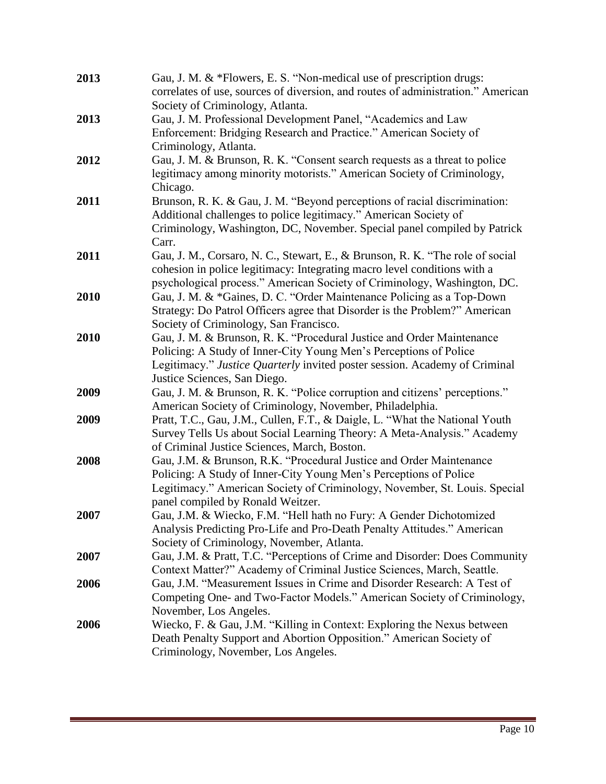| 2013 | Gau, J. M. & *Flowers, E. S. "Non-medical use of prescription drugs:<br>correlates of use, sources of diversion, and routes of administration." American |
|------|----------------------------------------------------------------------------------------------------------------------------------------------------------|
|      | Society of Criminology, Atlanta.                                                                                                                         |
| 2013 | Gau, J. M. Professional Development Panel, "Academics and Law                                                                                            |
|      | Enforcement: Bridging Research and Practice." American Society of                                                                                        |
|      | Criminology, Atlanta.                                                                                                                                    |
| 2012 | Gau, J. M. & Brunson, R. K. "Consent search requests as a threat to police                                                                               |
|      | legitimacy among minority motorists." American Society of Criminology,                                                                                   |
|      | Chicago.                                                                                                                                                 |
| 2011 | Brunson, R. K. & Gau, J. M. "Beyond perceptions of racial discrimination:                                                                                |
|      | Additional challenges to police legitimacy." American Society of                                                                                         |
|      | Criminology, Washington, DC, November. Special panel compiled by Patrick                                                                                 |
|      | Carr.                                                                                                                                                    |
| 2011 | Gau, J. M., Corsaro, N. C., Stewart, E., & Brunson, R. K. "The role of social                                                                            |
|      | cohesion in police legitimacy: Integrating macro level conditions with a                                                                                 |
|      | psychological process." American Society of Criminology, Washington, DC.                                                                                 |
| 2010 | Gau, J. M. & *Gaines, D. C. "Order Maintenance Policing as a Top-Down                                                                                    |
|      | Strategy: Do Patrol Officers agree that Disorder is the Problem?" American                                                                               |
|      | Society of Criminology, San Francisco.                                                                                                                   |
| 2010 | Gau, J. M. & Brunson, R. K. "Procedural Justice and Order Maintenance                                                                                    |
|      | Policing: A Study of Inner-City Young Men's Perceptions of Police                                                                                        |
|      | Legitimacy." Justice Quarterly invited poster session. Academy of Criminal                                                                               |
|      | Justice Sciences, San Diego.                                                                                                                             |
| 2009 | Gau, J. M. & Brunson, R. K. "Police corruption and citizens' perceptions."                                                                               |
|      | American Society of Criminology, November, Philadelphia.                                                                                                 |
| 2009 | Pratt, T.C., Gau, J.M., Cullen, F.T., & Daigle, L. "What the National Youth                                                                              |
|      | Survey Tells Us about Social Learning Theory: A Meta-Analysis." Academy                                                                                  |
|      | of Criminal Justice Sciences, March, Boston.                                                                                                             |
| 2008 | Gau, J.M. & Brunson, R.K. "Procedural Justice and Order Maintenance<br>Policing: A Study of Inner-City Young Men's Perceptions of Police                 |
|      | Legitimacy." American Society of Criminology, November, St. Louis. Special                                                                               |
|      | panel compiled by Ronald Weitzer.                                                                                                                        |
| 2007 | Gau, J.M. & Wiecko, F.M. "Hell hath no Fury: A Gender Dichotomized                                                                                       |
|      | Analysis Predicting Pro-Life and Pro-Death Penalty Attitudes." American                                                                                  |
|      | Society of Criminology, November, Atlanta.                                                                                                               |
| 2007 | Gau, J.M. & Pratt, T.C. "Perceptions of Crime and Disorder: Does Community                                                                               |
|      | Context Matter?" Academy of Criminal Justice Sciences, March, Seattle.                                                                                   |
| 2006 | Gau, J.M. "Measurement Issues in Crime and Disorder Research: A Test of                                                                                  |
|      | Competing One- and Two-Factor Models." American Society of Criminology,                                                                                  |
|      | November, Los Angeles.                                                                                                                                   |
| 2006 | Wiecko, F. & Gau, J.M. "Killing in Context: Exploring the Nexus between                                                                                  |
|      | Death Penalty Support and Abortion Opposition." American Society of                                                                                      |
|      | Criminology, November, Los Angeles.                                                                                                                      |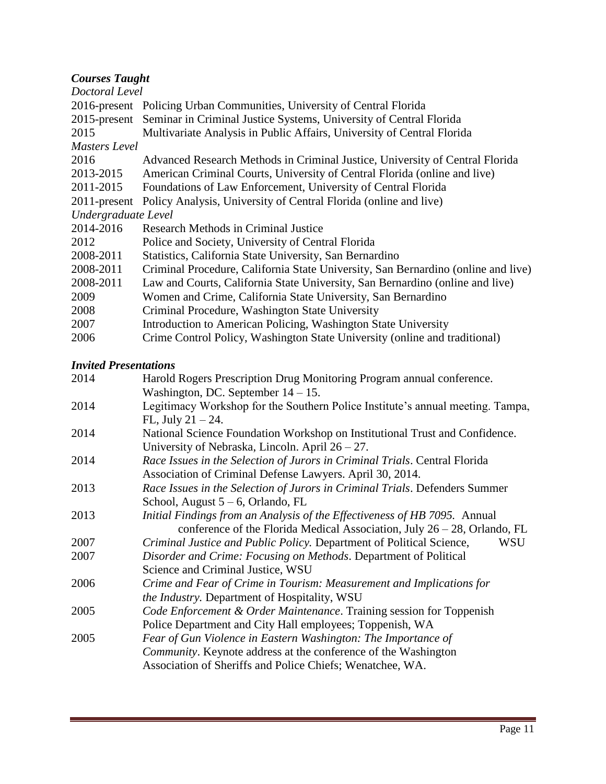## *Courses Taught*

| COMIDUS TUMENI      |                                                                                   |
|---------------------|-----------------------------------------------------------------------------------|
| Doctoral Level      |                                                                                   |
|                     | 2016-present Policing Urban Communities, University of Central Florida            |
|                     | 2015-present Seminar in Criminal Justice Systems, University of Central Florida   |
| 2015                | Multivariate Analysis in Public Affairs, University of Central Florida            |
| Masters Level       |                                                                                   |
| 2016                | Advanced Research Methods in Criminal Justice, University of Central Florida      |
| 2013-2015           | American Criminal Courts, University of Central Florida (online and live)         |
| 2011-2015           | Foundations of Law Enforcement, University of Central Florida                     |
| $2011$ -present     | Policy Analysis, University of Central Florida (online and live)                  |
| Undergraduate Level |                                                                                   |
| 2014-2016           | Research Methods in Criminal Justice                                              |
| 2012                | Police and Society, University of Central Florida                                 |
| 2008-2011           | Statistics, California State University, San Bernardino                           |
| 2008-2011           | Criminal Procedure, California State University, San Bernardino (online and live) |
| 2008-2011           | Law and Courts, California State University, San Bernardino (online and live)     |
| 2009                | Women and Crime, California State University, San Bernardino                      |
| 2008                | Criminal Procedure, Washington State University                                   |
| 2007                | Introduction to American Policing, Washington State University                    |
| 2006                | Crime Control Policy, Washington State University (online and traditional)        |
|                     |                                                                                   |

#### *Invited Presentations*

| Harold Rogers Prescription Drug Monitoring Program annual conference.          |
|--------------------------------------------------------------------------------|
| Washington, DC. September $14 - 15$ .                                          |
| Legitimacy Workshop for the Southern Police Institute's annual meeting. Tampa, |
| FL, July $21 - 24$ .                                                           |
| National Science Foundation Workshop on Institutional Trust and Confidence.    |
| University of Nebraska, Lincoln. April $26 - 27$ .                             |
| Race Issues in the Selection of Jurors in Criminal Trials. Central Florida     |
| Association of Criminal Defense Lawyers. April 30, 2014.                       |
| Race Issues in the Selection of Jurors in Criminal Trials. Defenders Summer    |
| School, August $5-6$ , Orlando, FL                                             |
| Initial Findings from an Analysis of the Effectiveness of HB 7095. Annual      |
| conference of the Florida Medical Association, July $26 - 28$ , Orlando, FL    |
| Criminal Justice and Public Policy. Department of Political Science,<br>WSU    |
| Disorder and Crime: Focusing on Methods. Department of Political               |
| Science and Criminal Justice, WSU                                              |
| Crime and Fear of Crime in Tourism: Measurement and Implications for           |
| <i>the Industry.</i> Department of Hospitality, WSU                            |
| Code Enforcement & Order Maintenance. Training session for Toppenish           |
| Police Department and City Hall employees; Toppenish, WA                       |
| Fear of Gun Violence in Eastern Washington: The Importance of                  |
| Community. Keynote address at the conference of the Washington                 |
| Association of Sheriffs and Police Chiefs; Wenatchee, WA.                      |
|                                                                                |